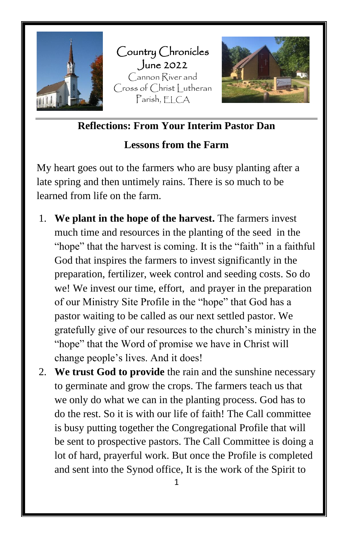

**Reflections: From Your Interim Pastor Dan**

### **Lessons from the Farm**

My heart goes out to the farmers who are busy planting after a late spring and then untimely rains. There is so much to be learned from life on the farm.

- 1. **We plant in the hope of the harvest.** The farmers invest much time and resources in the planting of the seed in the "hope" that the harvest is coming. It is the "faith" in a faithful God that inspires the farmers to invest significantly in the preparation, fertilizer, week control and seeding costs. So do we! We invest our time, effort, and prayer in the preparation of our Ministry Site Profile in the "hope" that God has a pastor waiting to be called as our next settled pastor. We gratefully give of our resources to the church's ministry in the "hope" that the Word of promise we have in Christ will change people's lives. And it does!
- 2. **We trust God to provide** the rain and the sunshine necessary to germinate and grow the crops. The farmers teach us that we only do what we can in the planting process. God has to do the rest. So it is with our life of faith! The Call committee is busy putting together the Congregational Profile that will be sent to prospective pastors. The Call Committee is doing a lot of hard, prayerful work. But once the Profile is completed and sent into the Synod office, It is the work of the Spirit to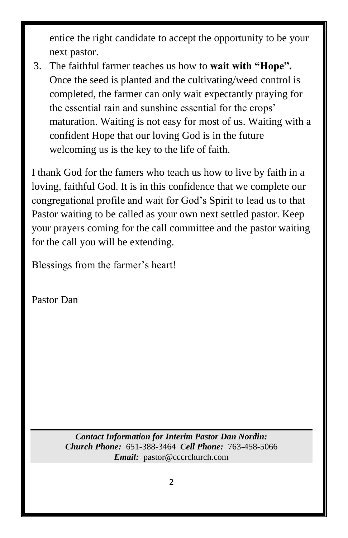entice the right candidate to accept the opportunity to be your next pastor.

3. The faithful farmer teaches us how to **wait with "Hope".** Once the seed is planted and the cultivating/weed control is completed, the farmer can only wait expectantly praying for the essential rain and sunshine essential for the crops' maturation. Waiting is not easy for most of us. Waiting with a confident Hope that our loving God is in the future welcoming us is the key to the life of faith.

I thank God for the famers who teach us how to live by faith in a loving, faithful God. It is in this confidence that we complete our congregational profile and wait for God's Spirit to lead us to that Pastor waiting to be called as your own next settled pastor. Keep your prayers coming for the call committee and the pastor waiting for the call you will be extending.

Blessings from the farmer's heart!

Pastor Dan

*Contact Information for Interim Pastor Dan Nordin: Church Phone:* 651-388-3464 *Cell Phone:* 763-458-5066 *Email:* pastor@cccrchurch.com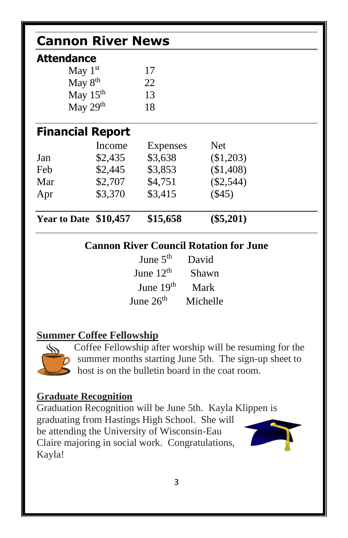| <b>Attendance</b>    |                         |          |             |  |
|----------------------|-------------------------|----------|-------------|--|
|                      | May $1st$               | 17       |             |  |
| May 8 <sup>th</sup>  |                         | 22       |             |  |
| May 15 <sup>th</sup> |                         | 13       |             |  |
|                      | May 29th                | 18       |             |  |
|                      | <b>Financial Report</b> |          |             |  |
|                      | Income                  | Expenses | <b>Net</b>  |  |
| Jan                  | \$2,435                 | \$3,638  | (\$1,203)   |  |
| Feb                  | \$2,445                 | \$3,853  | (\$1,408)   |  |
| Mar                  | \$2,707                 | \$4,751  | $(\$2,544)$ |  |
| Apr                  | \$3,370                 | \$3,415  | $(\$45)$    |  |
|                      | Year to Date \$10,457   | \$15,658 | $(\$5,201)$ |  |

| Julio J     | . <i>. .</i> |
|-------------|--------------|
| June $12th$ | Shawn        |
| June $19th$ | Mark         |
| June $26th$ | Michelle     |

### **Summer Coffee Fellowship**



Coffee Fellowship after worship will be resuming for the summer months starting June 5th. The sign-up sheet to host is on the bulletin board in the coat room.

### **Graduate Recognition**

Graduation Recognition will be June 5th. Kayla Klippen is graduating from Hastings High School. She will be attending the University of Wisconsin-Eau Claire majoring in social work. Congratulations, Kayla!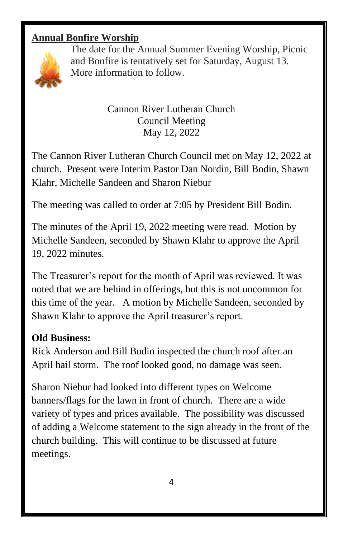### **Annual Bonfire Worship**



The date for the Annual Summer Evening Worship, Picnic and Bonfire is tentatively set for Saturday, August 13. More information to follow.

> Cannon River Lutheran Church Council Meeting May 12, 2022

The Cannon River Lutheran Church Council met on May 12, 2022 at church. Present were Interim Pastor Dan Nordin, Bill Bodin, Shawn Klahr, Michelle Sandeen and Sharon Niebur

The meeting was called to order at 7:05 by President Bill Bodin.

The minutes of the April 19, 2022 meeting were read. Motion by Michelle Sandeen, seconded by Shawn Klahr to approve the April 19, 2022 minutes.

The Treasurer's report for the month of April was reviewed. It was noted that we are behind in offerings, but this is not uncommon for this time of the year. A motion by Michelle Sandeen, seconded by Shawn Klahr to approve the April treasurer's report.

### **Old Business:**

Rick Anderson and Bill Bodin inspected the church roof after an April hail storm. The roof looked good, no damage was seen.

Sharon Niebur had looked into different types on Welcome banners/flags for the lawn in front of church. There are a wide variety of types and prices available. The possibility was discussed of adding a Welcome statement to the sign already in the front of the church building. This will continue to be discussed at future meetings.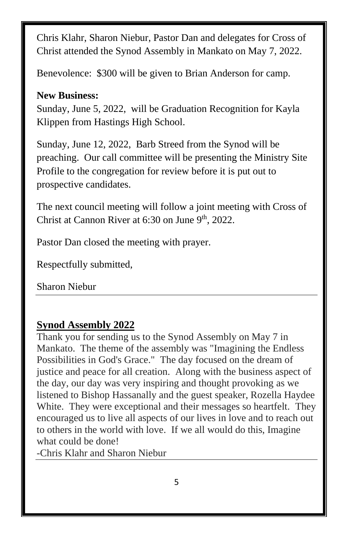Chris Klahr, Sharon Niebur, Pastor Dan and delegates for Cross of Christ attended the Synod Assembly in Mankato on May 7, 2022.

Benevolence: \$300 will be given to Brian Anderson for camp.

### **New Business:**

Sunday, June 5, 2022, will be Graduation Recognition for Kayla Klippen from Hastings High School.

Sunday, June 12, 2022, Barb Streed from the Synod will be preaching. Our call committee will be presenting the Ministry Site Profile to the congregation for review before it is put out to prospective candidates.

The next council meeting will follow a joint meeting with Cross of Christ at Cannon River at  $6:30$  on June  $9<sup>th</sup>$ , 2022.

Pastor Dan closed the meeting with prayer.

Respectfully submitted,

Sharon Niebur

## **Synod Assembly 2022**

Thank you for sending us to the Synod Assembly on May 7 in Mankato. The theme of the assembly was "Imagining the Endless Possibilities in God's Grace." The day focused on the dream of justice and peace for all creation. Along with the business aspect of the day, our day was very inspiring and thought provoking as we listened to Bishop Hassanally and the guest speaker, Rozella Haydee White. They were exceptional and their messages so heartfelt. They encouraged us to live all aspects of our lives in love and to reach out to others in the world with love. If we all would do this, Imagine what could be done!

-Chris Klahr and Sharon Niebur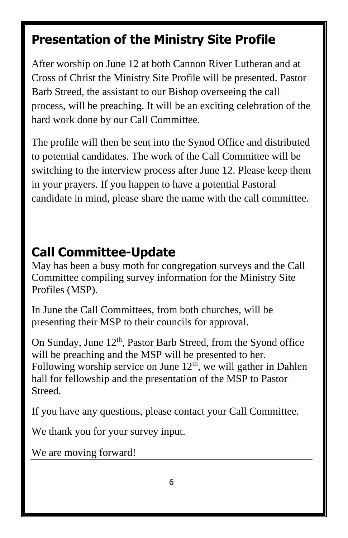# **Presentation of the Ministry Site Profile**

After worship on June 12 at both Cannon River Lutheran and at Cross of Christ the Ministry Site Profile will be presented. Pastor Barb Streed, the assistant to our Bishop overseeing the call process, will be preaching. It will be an exciting celebration of the hard work done by our Call Committee.

The profile will then be sent into the Synod Office and distributed to potential candidates. The work of the Call Committee will be switching to the interview process after June 12. Please keep them in your prayers. If you happen to have a potential Pastoral candidate in mind, please share the name with the call committee.

# **Call Committee-Update**

May has been a busy moth for congregation surveys and the Call Committee compiling survey information for the Ministry Site Profiles (MSP).

In June the Call Committees, from both churches, will be presenting their MSP to their councils for approval.

On Sunday, June 12<sup>th</sup>, Pastor Barb Streed, from the Syond office will be preaching and the MSP will be presented to her. Following worship service on June  $12<sup>th</sup>$ , we will gather in Dahlen hall for fellowship and the presentation of the MSP to Pastor Streed.

If you have any questions, please contact your Call Committee.

We thank you for your survey input.

We are moving forward!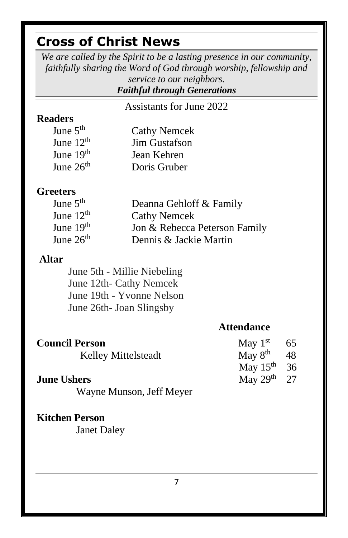# **Cross of Christ News**

*We are called by the Spirit to be a lasting presence in our community, faithfully sharing the Word of God through worship, fellowship and service to our neighbors.*

### *Faithful through Generations*

Assistants for June 2022

### **Readers**

| June $5th$  | <b>Cathy Nemcek</b>  |
|-------------|----------------------|
| June $12th$ | <b>Jim Gustafson</b> |
| June $19th$ | Jean Kehren          |
| June $26th$ | Doris Gruber         |

#### **Greeters**

| June $5th$  | Deanna Gehloff & Family       |
|-------------|-------------------------------|
| June $12th$ | <b>Cathy Nemcek</b>           |
| June $19th$ | Jon & Rebecca Peterson Family |
| June $26th$ | Dennis & Jackie Martin        |

#### **Altar**

June 5th - Millie Niebeling June 12th- Cathy Nemcek June 19th - Yvonne Nelson June 26th- Joan Slingsby

### **Attendance**

27

| <b>Council Person</b> | May $1st$ 65            |  |
|-----------------------|-------------------------|--|
| Kelley Mittelsteadt   | May $8^{\text{th}}$ 48  |  |
|                       | May $15^{\text{th}}$ 36 |  |

## **June Ushers May 29<sup>th</sup>**

Wayne Munson, Jeff Meyer

#### **Kitchen Person**

Janet Daley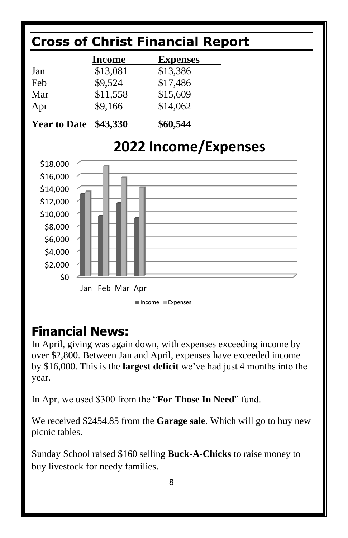

# **Financial News:**

In April, giving was again down, with expenses exceeding income by over \$2,800. Between Jan and April, expenses have exceeded income by \$16,000. This is the **largest deficit** we've had just 4 months into the year.

In Apr, we used \$300 from the "**For Those In Need**" fund.

We received \$2454.85 from the **Garage sale**. Which will go to buy new picnic tables.

Sunday School raised \$160 selling **Buck-A-Chicks** to raise money to buy livestock for needy families.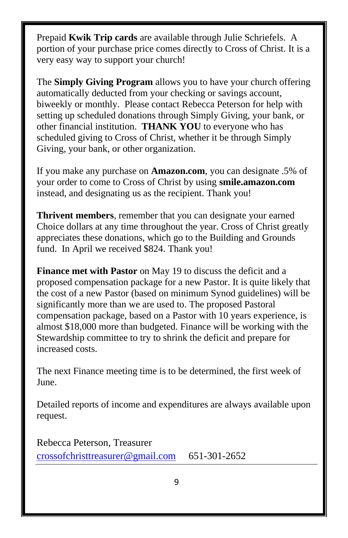Prepaid **Kwik Trip cards** are available through Julie Schriefels. A portion of your purchase price comes directly to Cross of Christ. It is a very easy way to support your church!

The **Simply Giving Program** allows you to have your church offering automatically deducted from your checking or savings account, biweekly or monthly. Please contact Rebecca Peterson for help with setting up scheduled donations through Simply Giving, your bank, or other financial institution. **THANK YOU** to everyone who has scheduled giving to Cross of Christ, whether it be through Simply Giving, your bank, or other organization.

If you make any purchase on **Amazon.com**, you can designate .5% of your order to come to Cross of Christ by using **smile.amazon.com** instead, and designating us as the recipient. Thank you!

**Thrivent members**, remember that you can designate your earned Choice dollars at any time throughout the year. Cross of Christ greatly appreciates these donations, which go to the Building and Grounds fund. In April we received \$824. Thank you!

**Finance met with Pastor** on May 19 to discuss the deficit and a proposed compensation package for a new Pastor. It is quite likely that the cost of a new Pastor (based on minimum Synod guidelines) will be significantly more than we are used to. The proposed Pastoral compensation package, based on a Pastor with 10 years experience, is almost \$18,000 more than budgeted. Finance will be working with the Stewardship committee to try to shrink the deficit and prepare for increased costs.

The next Finance meeting time is to be determined, the first week of June.

Detailed reports of income and expenditures are always available upon request.

Rebecca Peterson, Treasurer [crossofchristtreasurer@gmail.com](mailto:crossofchristtreasurer@gmail.com) 651-301-2652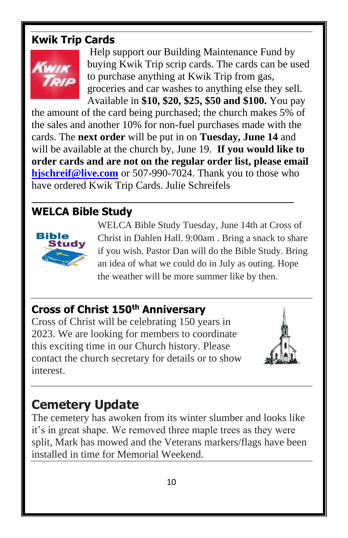## **Kwik Trip Cards**



Help support our Building Maintenance Fund by buying Kwik Trip scrip cards. The cards can be used to purchase anything at Kwik Trip from gas, groceries and car washes to anything else they sell. Available in **\$10, \$20, \$25, \$50 and \$100.** You pay

the amount of the card being purchased; the church makes 5% of the sales and another 10% for non-fuel purchases made with the cards. The **next order** will be put in on **Tuesday, June 14** and will be available at the church by, June 19. **If you would like to order cards and are not on the regular order list, please email [hjschreif@live.com](mailto:hjschreif@live.com)** or 507-990-7024. Thank you to those who have ordered Kwik Trip Cards. Julie Schreifels

# **WELCA Bible Study**



WELCA Bible Study Tuesday, June 14th at Cross of Christ in Dahlen Hall. 9:00am . Bring a snack to share if you wish. Pastor Dan will do the Bible Study. Bring an idea of what we could do in July as outing. Hope the weather will be more summer like by then.

## **Cross of Christ 150th Anniversary**

Cross [of Chri](https://creativecommons.org/licenses/by-sa/3.0/)st will be celebrating 150 years in 2[023](https://creativecommons.org/licenses/by-sa/3.0/). We are looking for members to coordinate this exciting time in our Church history. Please contact the church secretary for details or to show interest.



# **Cemetery Update**

The cemetery has awoken from its winter slumber and looks like it's in great shape. We removed three maple trees as they were split, Mark has mowed and the Veterans markers/flags have been installed in time for Memorial Weekend.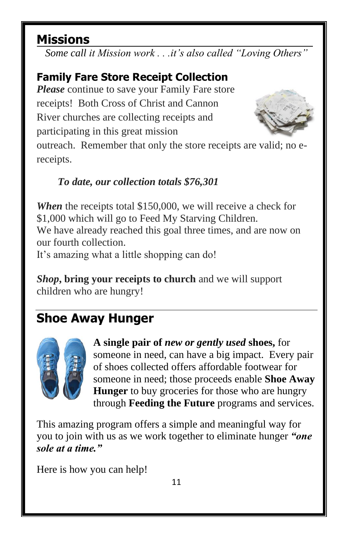# **Missions**

*Some call it Mission work . . .it's also called "Loving Others"*

# **Family Fare Store Receipt Collection**

*Please* continue to save your Family Fare store receipts! Both Cross of Christ and Cannon River churches are collecting receipts and participating in this great mission



outreach. Remember that only the store receipts are valid; no ereceipts.

## *To date, our collection totals \$76,301*

*When* the receipts total \$150,000, we will receive a check for \$1,000 which will go to Feed My Starving Children. We have already reached this goal three times, and are now on our fourth collection. It's amazing what a little shopping can do!

*Shop***, bring your receipts to church** and we will support children who are hungry!

# **Shoe Away Hunger**



**A single pair of** *new or gently used* **shoes,** for someone in need, can have a big impact. Every pair of shoes collected offers affordable footwear for someone in need; those proceeds enable **Shoe Away Hunger** to buy groceries for those who are hungry through **Feeding the Future** programs and services.

This amazing program offers a simple and meaningful way for you to join with us as we work together to eliminate hunger *"one sole at a time."*

Here is how you can help!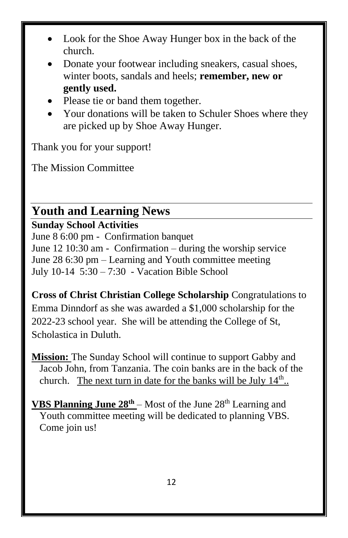- Look for the Shoe Away Hunger box in the back of the church.
- Donate your footwear including sneakers, casual shoes, winter boots, sandals and heels; **remember, new or gently used.**
- Please tie or band them together.
- Your donations will be taken to Schuler Shoes where they are picked up by Shoe Away Hunger.

Thank you for your support!

The Mission Committee

## **Youth and Learning News**

### **Sunday School Activities**

June 8 6:00 pm - Confirmation banquet June 12 10:30 am - Confirmation – during the worship service June 28 6:30 pm – Learning and Youth committee meeting July 10-14 5:30 – 7:30 - Vacation Bible School

**Cross of Christ Christian College Scholarship** Congratulations to Emma Dinndorf as she was awarded a \$1,000 scholarship for the 2022-23 school year. She will be attending the College of St, Scholastica in Duluth.

**Mission:** The Sunday School will continue to support Gabby and Jacob John, from Tanzania. The coin banks are in the back of the church. The next turn in date for the banks will be July  $14^{\text{th}}$ .

**VBS Planning June**  $28^{th}$  – Most of the June  $28^{th}$  Learning and Youth committee meeting will be dedicated to planning VBS. Come join us!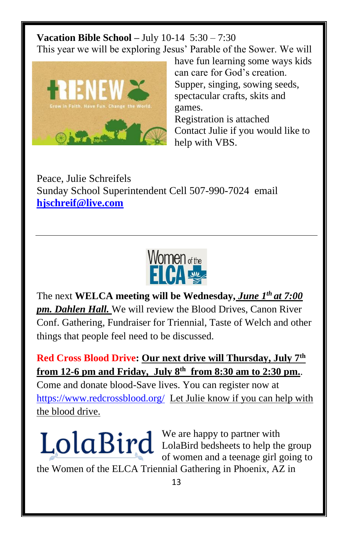**Vacation Bible School –** July 10-14 5:30 – 7:30 This year we will be exploring Jesus' Parable of the Sower. We will



have fun learning some ways kids can care for God's creation. Supper, singing, sowing seeds, spectacular crafts, skits and games. Registration is attached Contact Julie if you would like to help with VBS.

Peace, Julie Schreifels Sunday School Superintendent Cell 507-990-7024 email **[hjschreif@live.com](mailto:hjschreif@live.com)**



The next **WELCA meeting will be Wednesday,** *June 1th at 7:00 pm. Dahlen Hall.* We will review the Blood Drives, Canon River Conf. Gathering, Fundraiser for Triennial, Taste of Welch and other things that people feel need to be discussed.

**Red Cross Blood Drive: Our next drive will Thursday, July 7th from 12-6 pm and Friday, July 8th from 8:30 am to 2:30 pm.**. Come and donate blood-Save lives. You can register now at <https://www.redcrossblood.org/>Let Julie know if you can help with the blood drive.

We are happy to partner with LolaBird bedsheets to help the group of women and a teenage girl going to

the Women of the ELCA Triennial Gathering in Phoenix, AZ in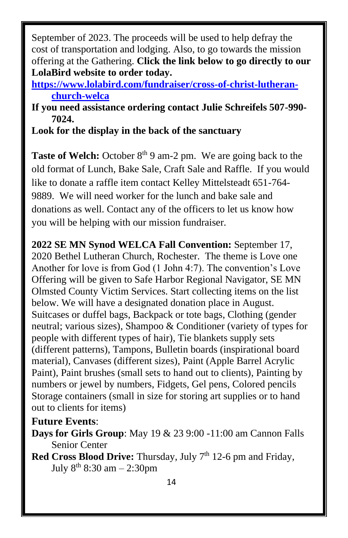September of 2023. The proceeds will be used to help defray the cost of transportation and lodging. Also, to go towards the mission offering at the Gathering. **Click the link below to go directly to our LolaBird website to order today.**

**[https://www.lolabird.com/fundraiser/cross-of-christ-lutheran](https://www.lolabird.com/fundraiser/cross-of-christ-lutheran-church-welca)[church-welca](https://www.lolabird.com/fundraiser/cross-of-christ-lutheran-church-welca)**

**If you need assistance ordering contact Julie Schreifels 507-990- 7024.** 

**Look for the display in the back of the sanctuary**

**Taste of Welch:** October 8<sup>th</sup> 9 am-2 pm. We are going back to the old format of Lunch, Bake Sale, Craft Sale and Raffle. If you would like to donate a raffle item contact Kelley Mittelsteadt 651-764- 9889. We will need worker for the lunch and bake sale and donations as well. Contact any of the officers to let us know how you will be helping with our mission fundraiser.

**2022 SE MN Synod WELCA Fall Convention:** September 17, 2020 Bethel Lutheran Church, Rochester. The theme is Love one Another for love is from God (1 John 4:7). The convention's Love Offering will be given to Safe Harbor Regional Navigator, SE MN Olmsted County Victim Services. Start collecting items on the list below. We will have a designated donation place in August. Suitcases or duffel bags, Backpack or tote bags, Clothing (gender neutral; various sizes), Shampoo & Conditioner (variety of types for people with different types of hair), Tie blankets supply sets (different patterns), Tampons, Bulletin boards (inspirational board material), Canvases (different sizes), Paint (Apple Barrel Acrylic Paint), Paint brushes (small sets to hand out to clients), Painting by numbers or jewel by numbers, Fidgets, Gel pens, Colored pencils Storage containers (small in size for storing art supplies or to hand out to clients for items)

### **Future Events**:

**Days for Girls Group**: May 19 & 23 9:00 -11:00 am Cannon Falls Senior Center

**Red Cross Blood Drive:** Thursday, July 7<sup>th</sup> 12-6 pm and Friday, July  $8^{th}$  8:30 am  $-$  2:30pm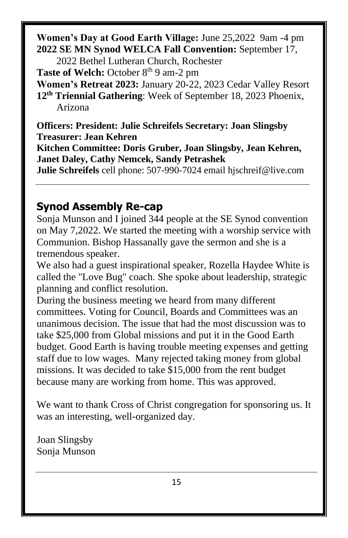**Women's Day at Good Earth Village:** June 25,2022 9am -4 pm **2022 SE MN Synod WELCA Fall Convention:** September 17,

2022 Bethel Lutheran Church, Rochester

**Taste of Welch:** October 8<sup>th</sup> 9 am-2 pm

**Women's Retreat 2023:** January 20-22, 2023 Cedar Valley Resort **12th Triennial Gathering**: Week of September 18, 2023 Phoenix, Arizona

**Officers: President: Julie Schreifels Secretary: Joan Slingsby Treasurer: Jean Kehren**

**Kitchen Committee: Doris Gruber, Joan Slingsby, Jean Kehren, Janet Daley, Cathy Nemcek, Sandy Petrashek**

**Julie Schreifels** cell phone: 507-990-7024 email hjschreif@live.com

## **Synod Assembly Re-cap**

Sonja Munson and I joined 344 people at the SE Synod convention on May 7,2022. We started the meeting with a worship service with Communion. Bishop Hassanally gave the sermon and she is a tremendous speaker.

We also had a guest inspirational speaker, Rozella Haydee White is called the "Love Bug" coach. She spoke about leadership, strategic planning and conflict resolution.

During the business meeting we heard from many different committees. Voting for Council, Boards and Committees was an unanimous decision. The issue that had the most discussion was to take \$25,000 from Global missions and put it in the Good Earth budget. Good Earth is having trouble meeting expenses and getting staff due to low wages. Many rejected taking money from global missions. It was decided to take \$15,000 from the rent budget because many are working from home. This was approved.

We want to thank Cross of Christ congregation for sponsoring us. It was an interesting, well-organized day.

Joan Slingsby Sonja Munson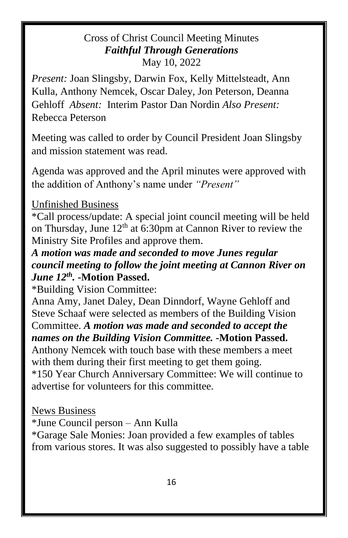### Cross of Christ Council Meeting Minutes *Faithful Through Generations* May 10, 2022

*Present:* Joan Slingsby, Darwin Fox, Kelly Mittelsteadt, Ann Kulla, Anthony Nemcek, Oscar Daley, Jon Peterson, Deanna Gehloff *Absent:* Interim Pastor Dan Nordin *Also Present:*  Rebecca Peterson

Meeting was called to order by Council President Joan Slingsby and mission statement was read.

Agenda was approved and the April minutes were approved with the addition of Anthony's name under *"Present"*

### Unfinished Business

\*Call process/update: A special joint council meeting will be held on Thursday, June  $12<sup>th</sup>$  at 6:30pm at Cannon River to review the Ministry Site Profiles and approve them.

*A motion was made and seconded to move Junes regular council meeting to follow the joint meeting at Cannon River on June 12th .* **-Motion Passed.**

\*Building Vision Committee:

Anna Amy, Janet Daley, Dean Dinndorf, Wayne Gehloff and Steve Schaaf were selected as members of the Building Vision Committee. *A motion was made and seconded to accept the names on the Building Vision Committee. -***Motion Passed.**  Anthony Nemcek with touch base with these members a meet with them during their first meeting to get them going. \*150 Year Church Anniversary Committee: We will continue to

advertise for volunteers for this committee.

News Business

\*June Council person – Ann Kulla

\*Garage Sale Monies: Joan provided a few examples of tables from various stores. It was also suggested to possibly have a table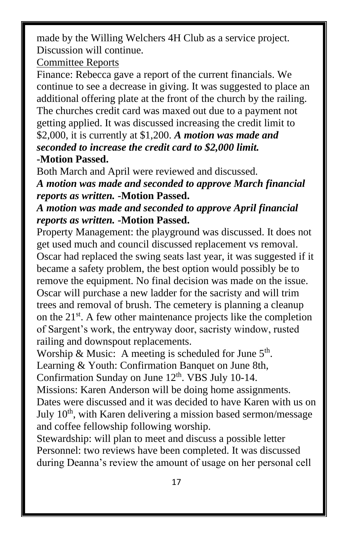made by the Willing Welchers 4H Club as a service project. Discussion will continue.

#### Committee Reports

Finance: Rebecca gave a report of the current financials. We continue to see a decrease in giving. It was suggested to place an additional offering plate at the front of the church by the railing. The churches credit card was maxed out due to a payment not getting applied. It was discussed increasing the credit limit to \$2,000, it is currently at \$1,200. *A motion was made and seconded to increase the credit card to \$2,000 limit.*  **-Motion Passed.**

Both March and April were reviewed and discussed.

*A motion was made and seconded to approve March financial reports as written.* **-Motion Passed.**

### *A motion was made and seconded to approve April financial reports as written.* **-Motion Passed.**

Property Management: the playground was discussed. It does not get used much and council discussed replacement vs removal. Oscar had replaced the swing seats last year, it was suggested if it became a safety problem, the best option would possibly be to remove the equipment. No final decision was made on the issue. Oscar will purchase a new ladder for the sacristy and will trim trees and removal of brush. The cemetery is planning a cleanup on the 21<sup>st</sup>. A few other maintenance projects like the completion of Sargent's work, the entryway door, sacristy window, rusted railing and downspout replacements.

Worship & Music: A meeting is scheduled for June  $5<sup>th</sup>$ . Learning & Youth: Confirmation Banquet on June 8th,

Confirmation Sunday on June  $12<sup>th</sup>$ . VBS July 10-14.

Missions: Karen Anderson will be doing home assignments. Dates were discussed and it was decided to have Karen with us on July 10<sup>th</sup>, with Karen delivering a mission based sermon/message and coffee fellowship following worship.

Stewardship: will plan to meet and discuss a possible letter Personnel: two reviews have been completed. It was discussed during Deanna's review the amount of usage on her personal cell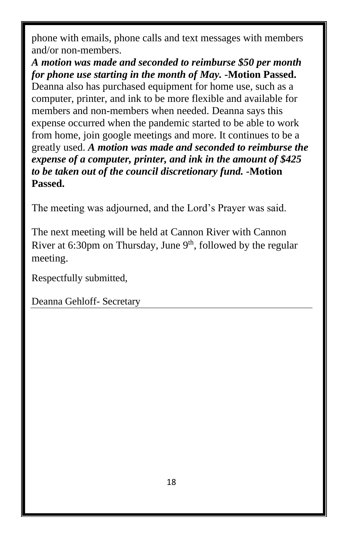phone with emails, phone calls and text messages with members and/or non-members.

### *A motion was made and seconded to reimburse \$50 per month for phone use starting in the month of May.* **-Motion Passed.**

Deanna also has purchased equipment for home use, such as a computer, printer, and ink to be more flexible and available for members and non-members when needed. Deanna says this expense occurred when the pandemic started to be able to work from home, join google meetings and more. It continues to be a greatly used. *A motion was made and seconded to reimburse the expense of a computer, printer, and ink in the amount of \$425 to be taken out of the council discretionary fund.* **-Motion Passed.** 

The meeting was adjourned, and the Lord's Prayer was said.

The next meeting will be held at Cannon River with Cannon River at 6:30pm on Thursday, June  $9<sup>th</sup>$ , followed by the regular meeting.

Respectfully submitted,

Deanna Gehloff- Secretary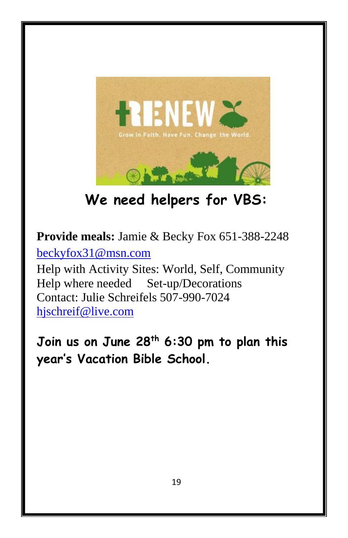

**We need helpers for VBS:**

**Provide meals:** Jamie & Becky Fox 651-388-2248 [beckyfox31@msn.com](mailto:beckyfox31@msn.com) Help with Activity Sites: World, Self, Community Help where needed Set-up/Decorations Contact: Julie Schreifels 507-990-7024 [hjschreif@live.com](mailto:hjschreif@live.com)

**Join us on June 28th 6:30 pm to plan this year's Vacation Bible School.**